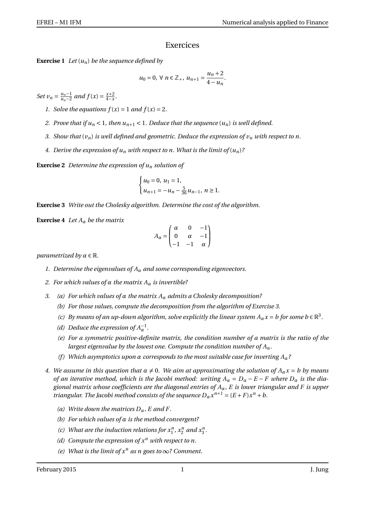## Exercices

**Exercise 1** *Let*  $(u_n)$  *be the sequence defined by* 

$$
u_0 = 0, \, \forall \, n \in \mathbb{Z}_+, \, u_{n+1} = \frac{u_n + 2}{4 - u_n}.
$$

*Set*  $v_n = \frac{u_{n-1}}{u_{n-2}}$  $\frac{u_n-1}{u_n-2}$  and  $f(x) = \frac{x+2}{4-x}$  $\frac{x+2}{4-x}$ .

*1. Solve the equations*  $f(x) = 1$  *and*  $f(x) = 2$ *.* 

- *2.* Prove that if  $u_n < 1$ , then  $u_{n+1} < 1$ . Deduce that the sequence  $(u_n)$  is well defined.
- *3. Show that* (*vn*) *is well defined and geometric. Deduce the expression of v<sup>n</sup> with respect to n.*
- 4. Derive the expression of  $u_n$  with respect to n. What is the limit of  $(u_n)$ ?

**Exercise 2** *Determine the expression of u<sup>n</sup> solution of*

$$
\begin{cases} u_0 = 0, u_1 = 1, \\ u_{n+1} = -u_n - \frac{5}{36}u_{n-1}, n \ge 1. \end{cases}
$$

**Exercise 3** *Write out the Cholesky algorithm. Determine the cost of the algorithm.*

**Exercise 4** *Let*  $A_\alpha$  *be the matrix* 

$$
A_{\alpha} = \begin{pmatrix} \alpha & 0 & -1 \\ 0 & \alpha & -1 \\ -1 & -1 & \alpha \end{pmatrix}
$$

*parametrized by*  $\alpha \in \mathbb{R}$ *.* 

- *1. Determine the eigenvalues of A<sup>α</sup> and some corresponding eigenvectors.*
- *2. For which values of α the matrix A<sup>α</sup> is invertible?*
- *3. (a) For which values of α the matrix A<sup>α</sup> admits a Cholesky decomposition?*
	- *(b) For those values, compute the decomposition from the algorithm of Exercise 3.*
	- *(c) By means of an up-down algorithm, solve explicitly the linear system*  $A_\alpha x = b$  *for some*  $b \in \mathbb{R}^3$ *.*
	- *(d)* Deduce the expression of  $A_{\alpha}^{-1}$ .
	- *(e) For a symmetric positive-definite matrix, the condition number of a matrix is the ratio of the largest eigenvalue by the lowest one. Compute the condition number of Aα.*
	- *(f ) Which asymptotics upon α corresponds to the most suitable case for inverting Aα?*
- *4. We assume in this question that*  $\alpha \neq 0$ . We aim at approximating the solution of  $A_{\alpha}x = b$  by means *of an iterative method, which is the Jacobi method: writing*  $A_\alpha = D_\alpha - E - F$  *where*  $D_\alpha$  *is the diagional matrix whose coefficients are the diagonal entries of Aα, E is lower triangular and F is upper triangular. The Jacobi method consists of the sequence*  $D_{\alpha} x^{n+1} = (E + F)x^n + b$ .
	- *(a) Write down the matrices Dα, E and F.*
	- *(b) For which values of α is the method convergent?*
	- (c) *What are the induction relations for*  $x_1^n$ *,*  $x_2^n$  *and*  $x_3^n$ *.*
	- *(d) Compute the expression of x<sup>n</sup> with respect to n.*
	- *(e) What is the limit of*  $x^n$  *as n goes to*  $\infty$ ? *Comment.*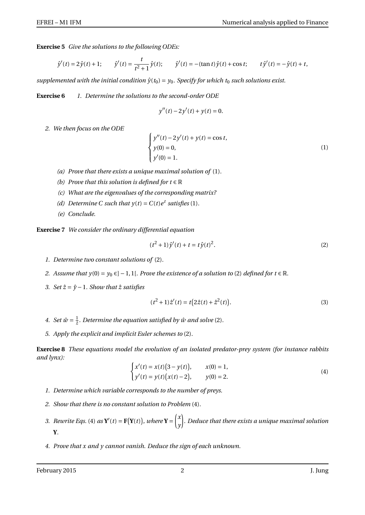**Exercise 5** *Give the solutions to the following ODEs:*

$$
\hat{y}'(t) = 2\hat{y}(t) + 1;
$$
  $\hat{y}'(t) = \frac{t}{t^2 + 1}\hat{y}(t);$   $\hat{y}'(t) = -(\tan t)\hat{y}(t) + \cos t;$   $t\hat{y}'(t) = -\hat{y}(t) + t,$ 

*supplemented with the initial condition*  $\hat{y}(t_0) = y_0$ *. Specify for which*  $t_0$  *such solutions exist.* 

**Exercise 6** *1. Determine the solutions to the second-order ODE*

$$
y''(t) - 2y'(t) + y(t) = 0.
$$

*2. We then focus on the ODE*

$$
\begin{cases}\ny''(t) - 2y'(t) + y(t) = \cos t, \\
y(0) = 0, \\
y'(0) = 1.\n\end{cases}
$$
\n(1)

- *(a) Prove that there exists a unique maximal solution of* (1)*.*
- *(b) Prove that this solution is defined for*  $t \in \mathbb{R}$
- *(c) What are the eigenvalues of the corresponding matrix?*
- (d) Determine C such that  $y(t) = C(t)e^{t}$  satisfies (1).
- *(e) Conclude.*

**Exercise 7** *We consider the ordinary differential equation*

$$
(t2 + 1)\hat{y}'(t) + t = t\hat{y}(t)2.
$$
 (2)

- *1. Determine two constant solutions of* (2)*.*
- *2. Assume that*  $y(0) = y_0 ∈ ] −1,1[$ *. Prove the existence of a solution to* (2) *defined for*  $t ∈ ℝ$ *.*
- *3. Set*  $\hat{z} = \hat{y} 1$ *. Show that*  $\hat{z}$  *satisfies*

$$
(t2 + 1)\hat{z}'(t) = t(2\hat{z}(t) + \hat{z}^{2}(t)).
$$
\n(3)

- 4. *Set*  $\hat{w} = \frac{1}{2}$ *. Determine the equation satisfied by*  $\hat{w}$  *and solve* (2)*.*
- *5. Apply the explicit and implicit Euler schemes to* (2)*.*

**Exercise 8** *These equations model the evolution of an isolated predator-prey system (for instance rabbits and lynx):*

$$
\begin{cases}\nx'(t) = x(t)(3 - y(t)), & x(0) = 1, \\
y'(t) = y(t)(x(t) - 2), & y(0) = 2.\n\end{cases}
$$
\n(4)

- *1. Determine which variable corresponds to the number of preys.*
- *2. Show that there is no constant solution to Problem* (4)*.*
- *3. Rewrite Eqs.* (4)  $as \mathbf{Y}'(t) = \mathbf{F}(\mathbf{Y}(t))$ , where  $\mathbf{Y} = \begin{pmatrix} x \\ y \end{pmatrix}$ *y* ¶ *. Deduce that there exists a unique maximal solution* **Y***.*
- *4. Prove that x and y cannot vanish. Deduce the sign of each unknown.*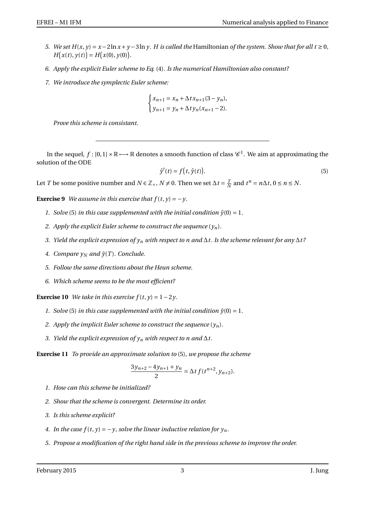- *5. We set*  $H(x, y) = x 2\ln x + y 3\ln y$ . *H is called the* Hamiltonian *of the system. Show that for all t* ≥ 0*,*  $H(x(t), y(t)) = H(x(0), y(0)).$
- *6. Apply the explicit Euler scheme to Eq.* (4)*. Is the numerical Hamiltonian also constant?*
- *7. We introduce the symplectic Euler scheme:*

$$
\begin{cases} x_{n+1} = x_n + \Delta t x_{n+1} (3 - y_n), \\ y_{n+1} = y_n + \Delta t y_n (x_{n+1} - 2). \end{cases}
$$

*Prove this scheme is consistant.*

In the sequel,  $f:[0,1]\times\mathbb{R}\longmapsto\mathbb{R}$  denotes a smooth function of class  $\mathscr{C}^1.$  We aim at approximating the solution of the ODE

$$
\hat{y}'(t) = f(t, \hat{y}(t)).
$$
\n(5)

Let *T* be some positive number and *N* ∈  $\mathbb{Z}_+$ , *N* ≠ 0. Then we set  $\Delta t = \frac{7}{\Delta}$  $\frac{T}{N}$  and  $t^n = n\Delta t$ ,  $0 \le n \le N$ .

**Exercise 9** *We assume in this exercise that*  $f(t, y) = -y$ .

- *1. Solve* (5) *in this case supplemented with the initial condition*  $\hat{y}(0) = 1$ *.*
- *2. Apply the explicit Euler scheme to construct the sequence*  $(\gamma_n)$ *.*
- *3. Yield the explicit expression of y<sup>n</sup> with respect to n and* ∆*t. Is the scheme relevant for any* ∆*t ?*
- *4. Compare*  $\gamma_N$  *and*  $\hat{\gamma}(T)$ *. Conclude.*
- *5. Follow the same directions about the Heun scheme.*
- *6. Which scheme seems to be the most efficient?*

**Exercise 10** *We take in this exercise*  $f(t, y) = 1 - 2y$ .

- *1. Solve* (5) *in this case supplemented with the initial condition*  $\hat{y}(0) = 1$ *.*
- *2. Apply the implicit Euler scheme to construct the sequence*  $(y_n)$ *.*
- *3. Yield the explicit expression of*  $y_n$  *with respect to n and*  $\Delta t$ .

**Exercise 11** *To provide an approximate solution to* (5)*, we propose the scheme*

$$
\frac{3y_{n+2}-4y_{n+1}+y_n}{2} = \Delta t f(t^{n+2}, y_{n+2}).
$$

- *1. How can this scheme be initialized?*
- *2. Show that the scheme is convergent. Determine its order.*
- *3. Is this scheme explicit?*
- *4. In the case*  $f(t, y) = -y$ *, solve the linear inductive relation for*  $y_n$ *.*
- *5. Propose a modification of the right hand side in the previous scheme to improve the order.*

February 2015 **3** J. Jung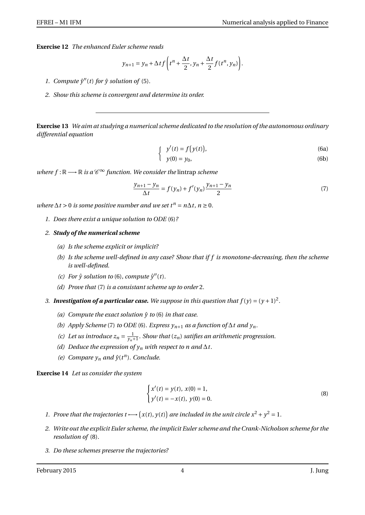**Exercise 12** *The enhanced Euler scheme reads*

$$
y_{n+1} = y_n + \Delta t f\left(t^n + \frac{\Delta t}{2}, y_n + \frac{\Delta t}{2} f(t^n, y_n)\right).
$$

- 1. *Compute*  $\hat{y}''(t)$  *for*  $\hat{y}$  *solution of* (5).
- *2. Show this scheme is convergent and determine its order.*

**Exercise 13** *We aim at studying a numerical scheme dedicated to the resolution of the autonomous ordinary differential equation*

$$
\int y'(t) = f(y(t)),\tag{6a}
$$

$$
y(0) = y_0,\tag{6b}
$$

 $where f: \mathbb{R} \longrightarrow \mathbb{R}$  *is a*  $\mathscr{C}^{\infty}$  *function. We consider the lintrap scheme* 

$$
\frac{y_{n+1} - y_n}{\Delta t} = f(y_n) + f'(y_n) \frac{y_{n+1} - y_n}{2}
$$
\n(7)

*where*  $\Delta t > 0$  *is some positive number and we set*  $t^n = n\Delta t$ ,  $n \ge 0$ .

*1. Does there exist a unique solution to ODE* (6)*?*

## *2. Study of the numerical scheme*

- *(a) Is the scheme explicit or implicit?*
- *(b) Is the scheme well-defined in any case? Show that if f is monotone-decreasing, then the scheme is well-defined.*
- *(c)* For  $\hat{y}$  solution to (6), compute  $\hat{y}''(t)$ .
- *(d) Prove that* (7) *is a consistant scheme up to order* 2*.*
- 3. **Investigation of a particular case.** We suppose in this question that  $f(y) = (y + 1)^2$ .
	- *(a) Compute the exact solution*  $\hat{y}$  *to* (6) *in that case.*
	- *(b) Apply Scheme* (7) *to ODE* (6)*. Express*  $y_{n+1}$  *as a function of*  $\Delta t$  *and*  $y_n$ *.*
	- (c) Let us introduce  $z_n = \frac{1}{y_n+1}$ . Show that  $(z_n)$  satifies an arithmetic progression.
	- *(d) Deduce the expression of*  $y_n$  *<i>with respect to n and*  $\Delta t$ *.*
	- *(e) Compare*  $y_n$  *and*  $\hat{y}(t^n)$ *. Conclude.*

**Exercise 14** *Let us consider the system*

$$
\begin{cases} x'(t) = y(t), \ x(0) = 1, \\ y'(t) = -x(t), \ y(0) = 0. \end{cases}
$$
 (8)

- *1. Prove that the trajectories*  $t \rightarrow (x(t), y(t))$  *are included in the unit circle*  $x^2 + y^2 = 1$ *.*
- *2. Write out the explicit Euler scheme, the implicit Euler scheme and the Crank-Nicholson scheme for the resolution of* (8)*.*
- *3. Do these schemes preserve the trajectories?*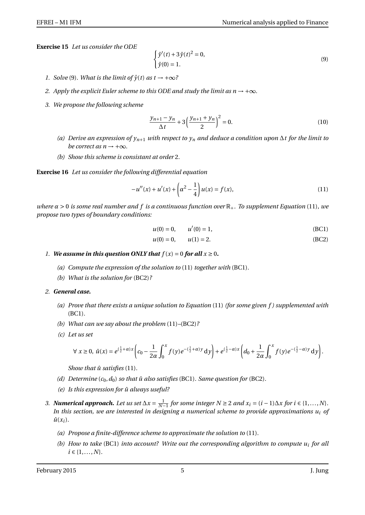**Exercise 15** *Let us consider the ODE*

$$
\begin{cases} \hat{y}'(t) + 3\hat{y}(t)^2 = 0, \\ \hat{y}(0) = 1. \end{cases}
$$
\n(9)

- *1. Solve* (9*). What is the limit of*  $\hat{y}(t)$  *as*  $t \rightarrow +\infty$ ?
- *2. Apply the explicit Euler scheme to this ODE and study the limit as*  $n \rightarrow +\infty$ *.*
- *3. We propose the following scheme*

$$
\frac{y_{n+1} - y_n}{\Delta t} + 3\left(\frac{y_{n+1} + y_n}{2}\right)^2 = 0.
$$
 (10)

- *(a) Derive an expression of yn*+<sup>1</sup> *with respect to y<sup>n</sup> and deduce a condition upon* ∆*t for the limit to be correct as n*  $\rightarrow +\infty$ *.*
- *(b) Show this scheme is consistant at order* 2*.*

**Exercise 16** *Let us consider the following differential equation*

$$
-u''(x) + u'(x) + \left(\alpha^2 - \frac{1}{4}\right)u(x) = f(x),\tag{11}
$$

*where α* > 0 *is some real number and f is a continuous function over* R+*. To supplement Equation* (11)*, we propose two types of boundary conditions:*

$$
u(0) = 0, \qquad u'(0) = 1,\tag{BC1}
$$

$$
u(0) = 0, \qquad u(1) = 2. \tag{BC2}
$$

- *1. We assume in this question ONLY that*  $f(x) = 0$  *for all*  $x \ge 0$ *.* 
	- *(a) Compute the expression of the solution to* (11) *together with* (BC1)*.*
	- *(b) What is the solution for* (BC2)*?*
- *2. General case.*
	- *(a) Prove that there exists a unique solution to Equation* (11) *(for some given f ) supplemented with* (BC1)*.*
	- *(b) What can we say about the problem* (11)*–*(BC2)*?*
	- *(c) Let us set*

$$
\forall x \geq 0, \ \hat{u}(x) = e^{(\frac{1}{2} + \alpha)x} \left( c_0 - \frac{1}{2\alpha} \int_0^x f(y) e^{-(\frac{1}{2} + \alpha)y} dy \right) + e^{(\frac{1}{2} - \alpha)x} \left( d_0 + \frac{1}{2\alpha} \int_0^x f(y) e^{-(\frac{1}{2} - \alpha)y} dy \right).
$$

*Show that*  $\hat{u}$  *satisfies* (11).

- *(d)* Determine  $(c_0, d_0)$  *so that*  $\hat{u}$  *also satisfies* (BC1)*. Same question for* (BC2)*.*
- *(e) Is this expression for*  $\hat{u}$  *always useful?*
- *3. Numerical approach. Let us set*  $\Delta x = \frac{1}{N-1}$  *for some integer*  $N \ge 2$  *and*  $x_i = (i-1)\Delta x$  *for*  $i \in \{1,...,N\}$ *.* In this section, we are interested in designing a numerical scheme to provide approximations  $u_i$  of  $\hat{u}(x_i)$ .
	- *(a) Propose a finite-difference scheme to approximate the solution to* (11)*.*
	- *(b) How to take* (BC1) *into account? Write out the corresponding algorithm to compute u<sup>i</sup> for all*  $i \in \{1, ..., N\}$ .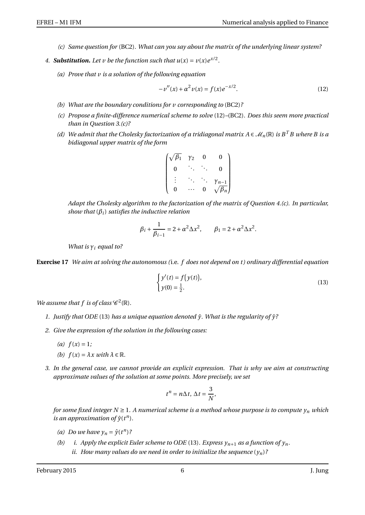- *(c) Same question for* (BC2)*. What can you say about the matrix of the underlying linear system?*
- 4. **Substitution.** Let v be the function such that  $u(x) = v(x)e^{x/2}$ .
	- *(a) Prove that v is a solution of the following equation*

$$
-v''(x) + \alpha^2 v(x) = f(x)e^{-x/2}.
$$
 (12)

- *(b) What are the boundary conditions for v corresponding to* (BC2)*?*
- *(c) Propose a finite-difference numerical scheme to solve* (12)*–*(BC2)*. Does this seem more practical than in Question 3.(c)?*
- *(d)* We admit that the Cholesky factorization of a tridiagonal matrix  $A \in \mathcal{M}_n(\mathbb{R})$  is  $B^T B$  where B is a *bidiagonal upper matrix of the form*

$$
\begin{pmatrix}\n\sqrt{\beta_1} & \gamma_2 & 0 & 0 \\
0 & \ddots & \ddots & 0 \\
\vdots & \ddots & \ddots & \gamma_{n-1} \\
0 & \cdots & 0 & \sqrt{\beta_n}\n\end{pmatrix}
$$

*Adapt the Cholesky algorithm to the factorization of the matrix of Question 4.(c). In particular, show that* (*βi*) *satisfies the inductive relation*

$$
\beta_i + \frac{1}{\beta_{i-1}} = 2 + \alpha^2 \Delta x^2
$$
,  $\beta_1 = 2 + \alpha^2 \Delta x^2$ .

*What is γ<sup>i</sup> equal to?*

**Exercise 17** *We aim at solving the autonomous (*i.e. *f does not depend on t ) ordinary differential equation*

$$
\begin{cases}\ny'(t) = f(y(t)), \\
y(0) = \frac{1}{2}.\n\end{cases}
$$
\n(13)

*We assume that f is of class*  $\mathscr{C}^2(\mathbb{R})$ *.* 

- *1. Justify that ODE* (13) *has a unique equation denoted*  $\hat{y}$ *. What is the regularity of*  $\hat{y}$ ?
- *2. Give the expression of the solution in the following cases:*
	- *(a)*  $f(x) = 1$ ;
	- *(b)*  $f(x) = \lambda x$  *with*  $\lambda \in \mathbb{R}$ *.*
- *3. In the general case, we cannot provide an explicit expression. That is why we aim at constructing approximate values of the solution at some points. More precisely, we set*

$$
t^n = n\Delta t, \, \Delta t = \frac{3}{N},
$$

*for some fixed integer N*  $\geq$  1*. A numerical scheme is a method whose purpose is to compute*  $y_n$  *which is an approximation of*  $\hat{y}(t^n)$ *.* 

- *(a) Do we have*  $y_n = \hat{y}(t^n)$ ?
- *(b) i. Apply the explicit Euler scheme to ODE* (13)*. Express*  $y_{n+1}$  *as a function of*  $y_n$ *. ii.* How many values do we need in order to initialize the sequence  $(y_n)$ ?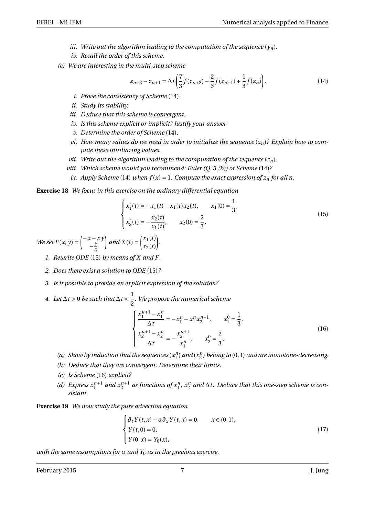- *iii. Write out the algorithm leading to the computation of the sequence*  $(y_n)$ *.*
- *iv. Recall the order of this scheme.*
- *(c) We are interesting in the multi-step scheme*

$$
z_{n+3} - z_{n+1} = \Delta t \left( \frac{7}{3} f(z_{n+2}) - \frac{2}{3} f(z_{n+1}) + \frac{1}{3} f(z_n) \right). \tag{14}
$$

- *i. Prove the consistency of Scheme* (14)*.*
- *ii. Study its stability.*
- *iii. Deduce that this scheme is convergent.*
- *iv. Is this scheme explicit or implicit? Justify your answer.*
- *v. Determine the order of Scheme* (14)*.*
- *vi. How many values do we need in order to initialize the sequence* (*zn*)*? Explain how to compute these initiliazing values.*
- *vii.* Write out the algorithm leading to the computation of the sequence  $(z_n)$ *.*
- *viii. Which scheme would you recommend: Euler (Q. 3.(b)) or Scheme* (14)*?*
	- *ix. Apply Scheme* (14) *when*  $f(x) = 1$ *. Compute the exact expression of*  $z_n$  *for all n.*

**Exercise 18** *We focus in this exercise on the ordinary differential equation*

$$
\begin{cases}\nx_1'(t) = -x_1(t) - x_1(t)x_2(t), & x_1(0) = \frac{1}{3}, \\
x_2'(t) = -\frac{x_2(t)}{x_1(t)}, & x_2(0) = \frac{2}{3}.\n\end{cases}
$$
\n(15)

*We set*  $F(x, y) = \begin{cases} -x - xy \\ y \end{cases}$ − *y x*  $\int$  *and X*(*t*) =  $\int_{x_1(t)}^{x_1(t)}$ *x*2(*t*) ¶ *.*

- *1. Rewrite ODE* (15) *by means of X and F .*
- *2. Does there exist a solution to ODE* (15)*?*
- *3. Is it possible to provide an explicit expression of the solution?*
- *4. Let* ∆*t* > 0 *be such that* ∆*t* <  $\frac{1}{2}$ 2 *. We propose the numerical scheme*

$$
\begin{cases}\n\frac{x_1^{n+1} - x_1^n}{\Delta t} = -x_1^n - x_1^n x_2^{n+1}, & x_1^0 = \frac{1}{3}, \\
\frac{x_2^{n+1} - x_2^n}{\Delta t} = -\frac{x_2^{n+1}}{x_1^n}, & x_2^0 = \frac{2}{3}.\n\end{cases}
$$
\n(16)

- (a) Show by induction that the sequences  $(x_1^n)$  and  $(x_2^n)$  belong to  $(0, 1)$  and are monotone-decreasing.
- *(b) Deduce that they are convergent. Determine their limits.*
- *(c) Is Scheme* (16) *explicit?*
- (d) Express  $x_1^{n+1}$  and  $x_2^{n+1}$  as functions of  $x_1^n$ ,  $x_2^n$  and  $\Delta t$ . Deduce that this one-step scheme is con*sistant.*

**Exercise 19** *We now study the pure advection equation*

$$
\begin{cases}\n\partial_t Y(t, x) + \alpha \partial_x Y(t, x) = 0, & x \in (0, 1), \\
Y(t, 0) = 0, & (17) \\
Y(0, x) = Y_0(x), &\n\end{cases}
$$

*with the same assumptions for α and Y*<sup>0</sup> *as in the previous exercise.*